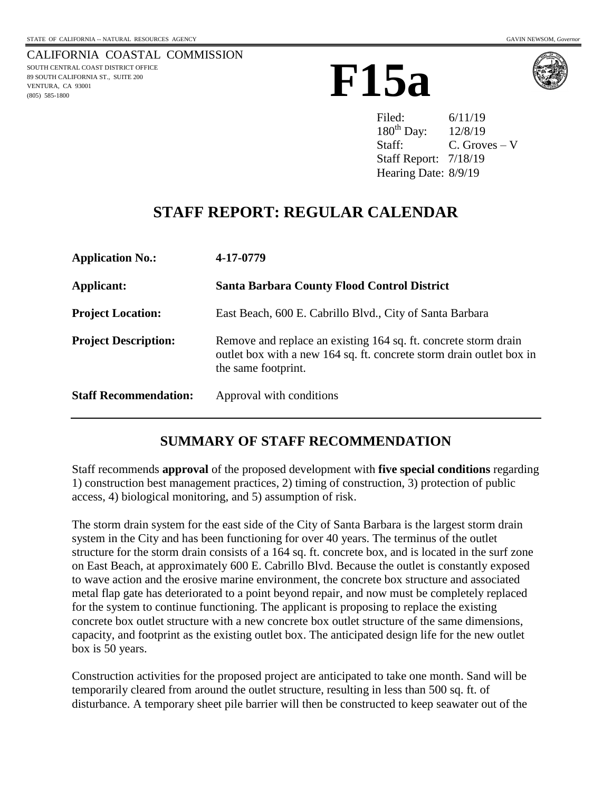CALIFORNIA COASTAL COMMISSION SOUTH CENTRAL COAST DISTRICT OFFICE 89 SOUTH CALIFORNIA ST., SUITE 200 VENTURA, CA 93001 (805) 585-1800





Filed: 6/11/19  $180^{th}$  Day:  $12/8/19$ Staff: C. Groves – V Staff Report: 7/18/19 Hearing Date: 8/9/19

# **STAFF REPORT: REGULAR CALENDAR**

| <b>Application No.:</b>      | 4-17-0779                                                                                                                                                      |
|------------------------------|----------------------------------------------------------------------------------------------------------------------------------------------------------------|
| Applicant:                   | <b>Santa Barbara County Flood Control District</b>                                                                                                             |
| <b>Project Location:</b>     | East Beach, 600 E. Cabrillo Blvd., City of Santa Barbara                                                                                                       |
| <b>Project Description:</b>  | Remove and replace an existing 164 sq. ft. concrete storm drain<br>outlet box with a new 164 sq. ft. concrete storm drain outlet box in<br>the same footprint. |
| <b>Staff Recommendation:</b> | Approval with conditions                                                                                                                                       |

## **SUMMARY OF STAFF RECOMMENDATION**

Staff recommends **approval** of the proposed development with **five special conditions** regarding 1) construction best management practices, 2) timing of construction, 3) protection of public access, 4) biological monitoring, and 5) assumption of risk.

The storm drain system for the east side of the City of Santa Barbara is the largest storm drain system in the City and has been functioning for over 40 years. The terminus of the outlet structure for the storm drain consists of a 164 sq. ft. concrete box, and is located in the surf zone on East Beach, at approximately 600 E. Cabrillo Blvd. Because the outlet is constantly exposed to wave action and the erosive marine environment, the concrete box structure and associated metal flap gate has deteriorated to a point beyond repair, and now must be completely replaced for the system to continue functioning. The applicant is proposing to replace the existing concrete box outlet structure with a new concrete box outlet structure of the same dimensions, capacity, and footprint as the existing outlet box. The anticipated design life for the new outlet box is 50 years.

Construction activities for the proposed project are anticipated to take one month. Sand will be temporarily cleared from around the outlet structure, resulting in less than 500 sq. ft. of disturbance. A temporary sheet pile barrier will then be constructed to keep seawater out of the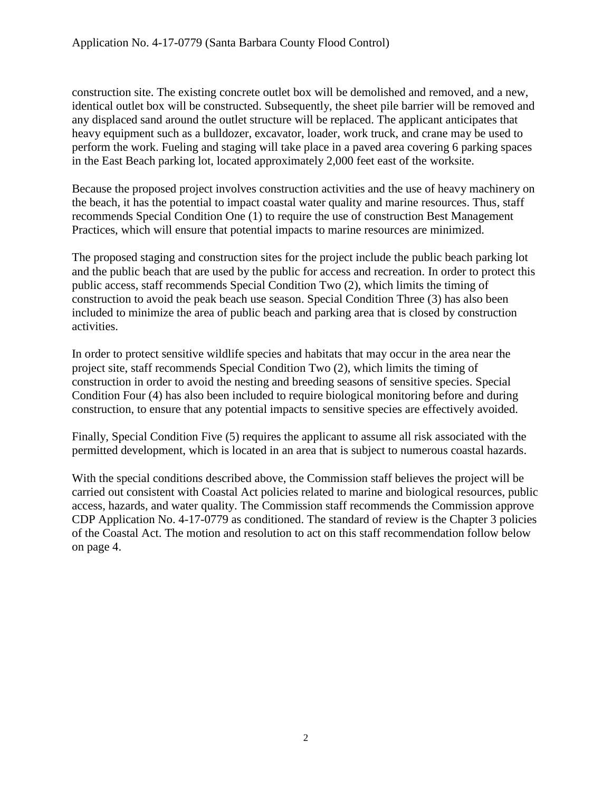construction site. The existing concrete outlet box will be demolished and removed, and a new, identical outlet box will be constructed. Subsequently, the sheet pile barrier will be removed and any displaced sand around the outlet structure will be replaced. The applicant anticipates that heavy equipment such as a bulldozer, excavator, loader, work truck, and crane may be used to perform the work. Fueling and staging will take place in a paved area covering 6 parking spaces in the East Beach parking lot, located approximately 2,000 feet east of the worksite.

Because the proposed project involves construction activities and the use of heavy machinery on the beach, it has the potential to impact coastal water quality and marine resources. Thus, staff recommends Special Condition One (1) to require the use of construction Best Management Practices, which will ensure that potential impacts to marine resources are minimized.

The proposed staging and construction sites for the project include the public beach parking lot and the public beach that are used by the public for access and recreation. In order to protect this public access, staff recommends Special Condition Two (2), which limits the timing of construction to avoid the peak beach use season. Special Condition Three (3) has also been included to minimize the area of public beach and parking area that is closed by construction activities.

In order to protect sensitive wildlife species and habitats that may occur in the area near the project site, staff recommends Special Condition Two (2), which limits the timing of construction in order to avoid the nesting and breeding seasons of sensitive species. Special Condition Four (4) has also been included to require biological monitoring before and during construction, to ensure that any potential impacts to sensitive species are effectively avoided.

Finally, Special Condition Five (5) requires the applicant to assume all risk associated with the permitted development, which is located in an area that is subject to numerous coastal hazards.

With the special conditions described above, the Commission staff believes the project will be carried out consistent with Coastal Act policies related to marine and biological resources, public access, hazards, and water quality. The Commission staff recommends the Commission approve CDP Application No. 4-17-0779 as conditioned. The standard of review is the Chapter 3 policies of the Coastal Act. The motion and resolution to act on this staff recommendation follow below on page 4.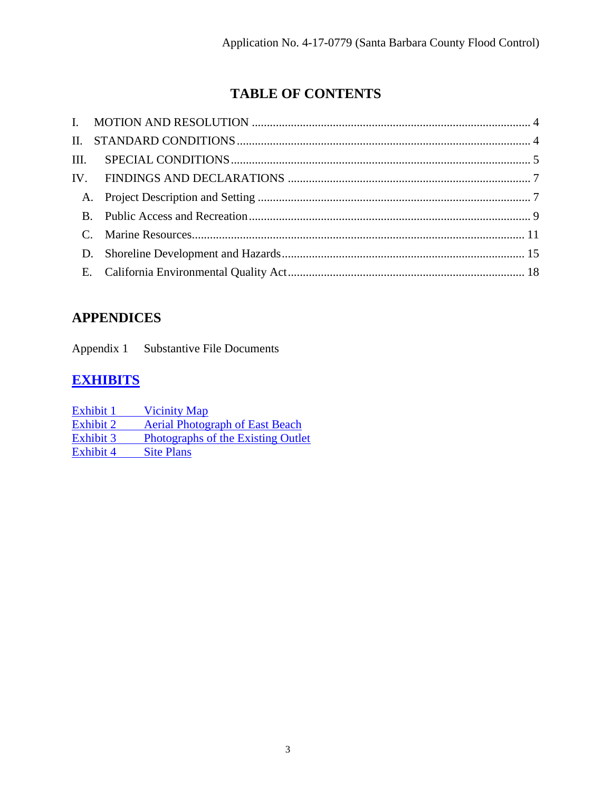# **TABLE OF CONTENTS**

# **APPENDICES**

Appendix 1 Substantive File Documents

# **[EXHIBITS](https://documents.coastal.ca.gov/reports/2019/8/f15a/f15a-8-2019-exhibits.pdf)**

| Exhibit 1        | <b>Vicinity Map</b>                    |
|------------------|----------------------------------------|
| Exhibit 2        | <b>Aerial Photograph of East Beach</b> |
| Exhibit 3        | Photographs of the Existing Outlet     |
| <b>Exhibit 4</b> | <b>Site Plans</b>                      |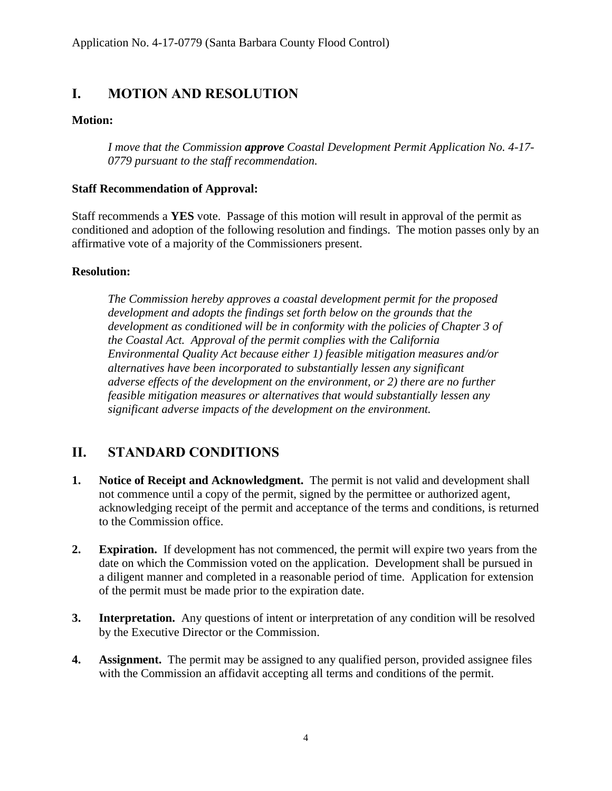## <span id="page-3-0"></span>**I. MOTION AND RESOLUTION**

### **Motion:**

*I move that the Commission approve Coastal Development Permit Application No. 4-17- 0779 pursuant to the staff recommendation.*

### **Staff Recommendation of Approval:**

Staff recommends a **YES** vote. Passage of this motion will result in approval of the permit as conditioned and adoption of the following resolution and findings. The motion passes only by an affirmative vote of a majority of the Commissioners present.

## **Resolution:**

*The Commission hereby approves a coastal development permit for the proposed development and adopts the findings set forth below on the grounds that the development as conditioned will be in conformity with the policies of Chapter 3 of the Coastal Act. Approval of the permit complies with the California Environmental Quality Act because either 1) feasible mitigation measures and/or alternatives have been incorporated to substantially lessen any significant adverse effects of the development on the environment, or 2) there are no further feasible mitigation measures or alternatives that would substantially lessen any significant adverse impacts of the development on the environment.*

## <span id="page-3-1"></span>**II. STANDARD CONDITIONS**

- **1. Notice of Receipt and Acknowledgment.** The permit is not valid and development shall not commence until a copy of the permit, signed by the permittee or authorized agent, acknowledging receipt of the permit and acceptance of the terms and conditions, is returned to the Commission office.
- **2. Expiration.** If development has not commenced, the permit will expire two years from the date on which the Commission voted on the application. Development shall be pursued in a diligent manner and completed in a reasonable period of time. Application for extension of the permit must be made prior to the expiration date.
- **3. Interpretation.** Any questions of intent or interpretation of any condition will be resolved by the Executive Director or the Commission.
- **4. Assignment.** The permit may be assigned to any qualified person, provided assignee files with the Commission an affidavit accepting all terms and conditions of the permit.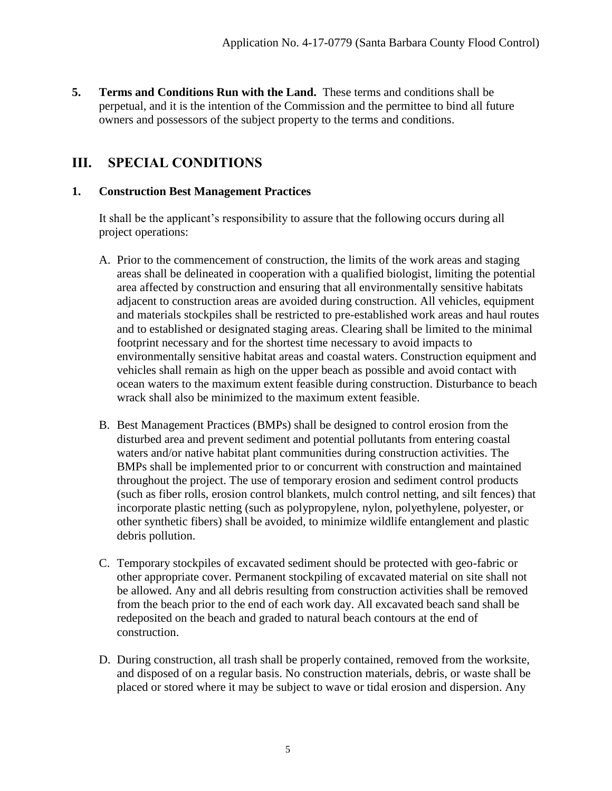**5. Terms and Conditions Run with the Land.** These terms and conditions shall be perpetual, and it is the intention of the Commission and the permittee to bind all future owners and possessors of the subject property to the terms and conditions.

## <span id="page-4-0"></span>**III. SPECIAL CONDITIONS**

## **1. Construction Best Management Practices**

It shall be the applicant's responsibility to assure that the following occurs during all project operations:

- A. Prior to the commencement of construction, the limits of the work areas and staging areas shall be delineated in cooperation with a qualified biologist, limiting the potential area affected by construction and ensuring that all environmentally sensitive habitats adjacent to construction areas are avoided during construction. All vehicles, equipment and materials stockpiles shall be restricted to pre-established work areas and haul routes and to established or designated staging areas. Clearing shall be limited to the minimal footprint necessary and for the shortest time necessary to avoid impacts to environmentally sensitive habitat areas and coastal waters. Construction equipment and vehicles shall remain as high on the upper beach as possible and avoid contact with ocean waters to the maximum extent feasible during construction. Disturbance to beach wrack shall also be minimized to the maximum extent feasible.
- B. Best Management Practices (BMPs) shall be designed to control erosion from the disturbed area and prevent sediment and potential pollutants from entering coastal waters and/or native habitat plant communities during construction activities. The BMPs shall be implemented prior to or concurrent with construction and maintained throughout the project. The use of temporary erosion and sediment control products (such as fiber rolls, erosion control blankets, mulch control netting, and silt fences) that incorporate plastic netting (such as polypropylene, nylon, polyethylene, polyester, or other synthetic fibers) shall be avoided, to minimize wildlife entanglement and plastic debris pollution.
- C. Temporary stockpiles of excavated sediment should be protected with geo-fabric or other appropriate cover. Permanent stockpiling of excavated material on site shall not be allowed. Any and all debris resulting from construction activities shall be removed from the beach prior to the end of each work day. All excavated beach sand shall be redeposited on the beach and graded to natural beach contours at the end of construction.
- D. During construction, all trash shall be properly contained, removed from the worksite, and disposed of on a regular basis. No construction materials, debris, or waste shall be placed or stored where it may be subject to wave or tidal erosion and dispersion. Any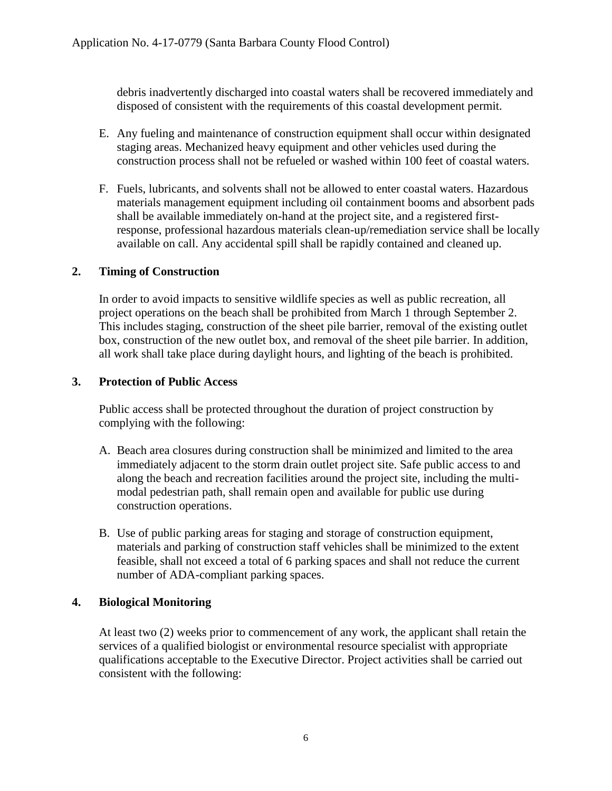debris inadvertently discharged into coastal waters shall be recovered immediately and disposed of consistent with the requirements of this coastal development permit.

- E. Any fueling and maintenance of construction equipment shall occur within designated staging areas. Mechanized heavy equipment and other vehicles used during the construction process shall not be refueled or washed within 100 feet of coastal waters.
- F. Fuels, lubricants, and solvents shall not be allowed to enter coastal waters. Hazardous materials management equipment including oil containment booms and absorbent pads shall be available immediately on-hand at the project site, and a registered firstresponse, professional hazardous materials clean-up/remediation service shall be locally available on call. Any accidental spill shall be rapidly contained and cleaned up.

### **2. Timing of Construction**

In order to avoid impacts to sensitive wildlife species as well as public recreation, all project operations on the beach shall be prohibited from March 1 through September 2. This includes staging, construction of the sheet pile barrier, removal of the existing outlet box, construction of the new outlet box, and removal of the sheet pile barrier. In addition, all work shall take place during daylight hours, and lighting of the beach is prohibited.

### **3. Protection of Public Access**

Public access shall be protected throughout the duration of project construction by complying with the following:

- A. Beach area closures during construction shall be minimized and limited to the area immediately adjacent to the storm drain outlet project site. Safe public access to and along the beach and recreation facilities around the project site, including the multimodal pedestrian path, shall remain open and available for public use during construction operations.
- B. Use of public parking areas for staging and storage of construction equipment, materials and parking of construction staff vehicles shall be minimized to the extent feasible, shall not exceed a total of 6 parking spaces and shall not reduce the current number of ADA-compliant parking spaces.

### **4. Biological Monitoring**

At least two (2) weeks prior to commencement of any work, the applicant shall retain the services of a qualified biologist or environmental resource specialist with appropriate qualifications acceptable to the Executive Director. Project activities shall be carried out consistent with the following: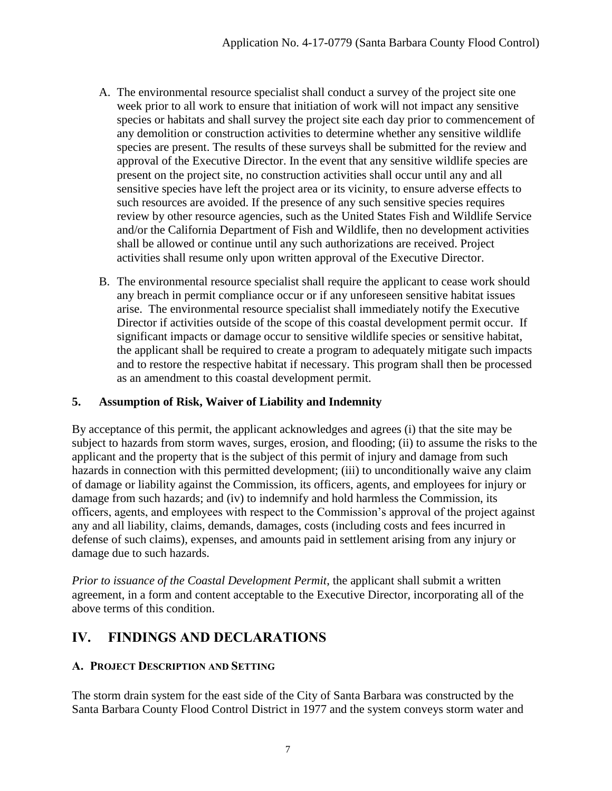- A. The environmental resource specialist shall conduct a survey of the project site one week prior to all work to ensure that initiation of work will not impact any sensitive species or habitats and shall survey the project site each day prior to commencement of any demolition or construction activities to determine whether any sensitive wildlife species are present. The results of these surveys shall be submitted for the review and approval of the Executive Director. In the event that any sensitive wildlife species are present on the project site, no construction activities shall occur until any and all sensitive species have left the project area or its vicinity, to ensure adverse effects to such resources are avoided. If the presence of any such sensitive species requires review by other resource agencies, such as the United States Fish and Wildlife Service and/or the California Department of Fish and Wildlife, then no development activities shall be allowed or continue until any such authorizations are received. Project activities shall resume only upon written approval of the Executive Director.
- B. The environmental resource specialist shall require the applicant to cease work should any breach in permit compliance occur or if any unforeseen sensitive habitat issues arise. The environmental resource specialist shall immediately notify the Executive Director if activities outside of the scope of this coastal development permit occur. If significant impacts or damage occur to sensitive wildlife species or sensitive habitat, the applicant shall be required to create a program to adequately mitigate such impacts and to restore the respective habitat if necessary. This program shall then be processed as an amendment to this coastal development permit.

## **5. Assumption of Risk, Waiver of Liability and Indemnity**

By acceptance of this permit, the applicant acknowledges and agrees (i) that the site may be subject to hazards from storm waves, surges, erosion, and flooding; (ii) to assume the risks to the applicant and the property that is the subject of this permit of injury and damage from such hazards in connection with this permitted development; (iii) to unconditionally waive any claim of damage or liability against the Commission, its officers, agents, and employees for injury or damage from such hazards; and (iv) to indemnify and hold harmless the Commission, its officers, agents, and employees with respect to the Commission's approval of the project against any and all liability, claims, demands, damages, costs (including costs and fees incurred in defense of such claims), expenses, and amounts paid in settlement arising from any injury or damage due to such hazards.

*Prior to issuance of the Coastal Development Permit*, the applicant shall submit a written agreement, in a form and content acceptable to the Executive Director, incorporating all of the above terms of this condition.

## <span id="page-6-0"></span>**IV. FINDINGS AND DECLARATIONS**

## <span id="page-6-1"></span>**A. PROJECT DESCRIPTION AND SETTING**

The storm drain system for the east side of the City of Santa Barbara was constructed by the Santa Barbara County Flood Control District in 1977 and the system conveys storm water and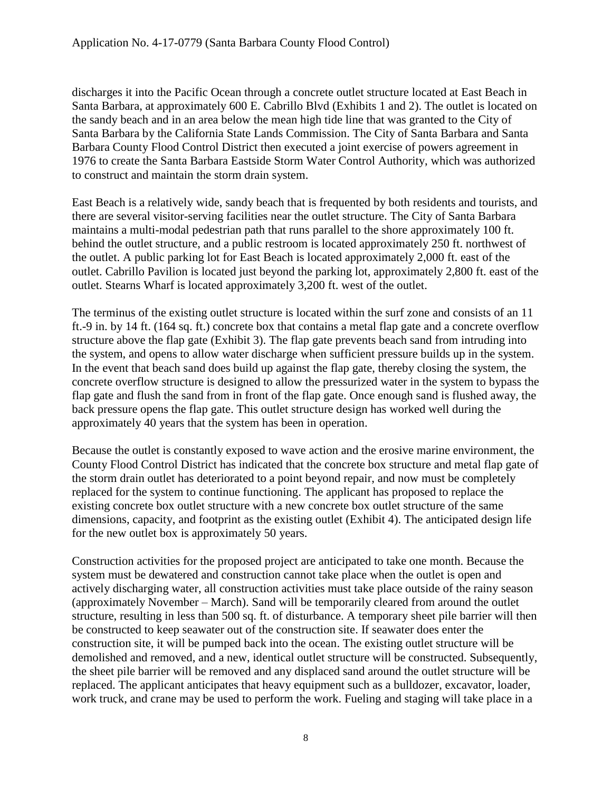discharges it into the Pacific Ocean through a concrete outlet structure located at East Beach in Santa Barbara, at approximately 600 E. Cabrillo Blvd (Exhibits 1 and 2). The outlet is located on the sandy beach and in an area below the mean high tide line that was granted to the City of Santa Barbara by the California State Lands Commission. The City of Santa Barbara and Santa Barbara County Flood Control District then executed a joint exercise of powers agreement in 1976 to create the Santa Barbara Eastside Storm Water Control Authority, which was authorized to construct and maintain the storm drain system.

East Beach is a relatively wide, sandy beach that is frequented by both residents and tourists, and there are several visitor-serving facilities near the outlet structure. The City of Santa Barbara maintains a multi-modal pedestrian path that runs parallel to the shore approximately 100 ft. behind the outlet structure, and a public restroom is located approximately 250 ft. northwest of the outlet. A public parking lot for East Beach is located approximately 2,000 ft. east of the outlet. Cabrillo Pavilion is located just beyond the parking lot, approximately 2,800 ft. east of the outlet. Stearns Wharf is located approximately 3,200 ft. west of the outlet.

The terminus of the existing outlet structure is located within the surf zone and consists of an 11 ft.-9 in. by 14 ft. (164 sq. ft.) concrete box that contains a metal flap gate and a concrete overflow structure above the flap gate (Exhibit 3). The flap gate prevents beach sand from intruding into the system, and opens to allow water discharge when sufficient pressure builds up in the system. In the event that beach sand does build up against the flap gate, thereby closing the system, the concrete overflow structure is designed to allow the pressurized water in the system to bypass the flap gate and flush the sand from in front of the flap gate. Once enough sand is flushed away, the back pressure opens the flap gate. This outlet structure design has worked well during the approximately 40 years that the system has been in operation.

Because the outlet is constantly exposed to wave action and the erosive marine environment, the County Flood Control District has indicated that the concrete box structure and metal flap gate of the storm drain outlet has deteriorated to a point beyond repair, and now must be completely replaced for the system to continue functioning. The applicant has proposed to replace the existing concrete box outlet structure with a new concrete box outlet structure of the same dimensions, capacity, and footprint as the existing outlet (Exhibit 4). The anticipated design life for the new outlet box is approximately 50 years.

Construction activities for the proposed project are anticipated to take one month. Because the system must be dewatered and construction cannot take place when the outlet is open and actively discharging water, all construction activities must take place outside of the rainy season (approximately November – March). Sand will be temporarily cleared from around the outlet structure, resulting in less than 500 sq. ft. of disturbance. A temporary sheet pile barrier will then be constructed to keep seawater out of the construction site. If seawater does enter the construction site, it will be pumped back into the ocean. The existing outlet structure will be demolished and removed, and a new, identical outlet structure will be constructed. Subsequently, the sheet pile barrier will be removed and any displaced sand around the outlet structure will be replaced. The applicant anticipates that heavy equipment such as a bulldozer, excavator, loader, work truck, and crane may be used to perform the work. Fueling and staging will take place in a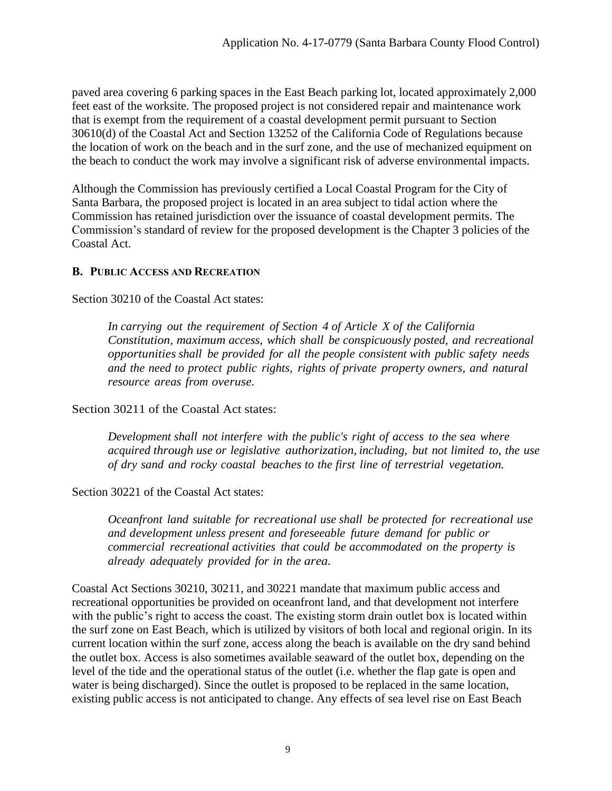paved area covering 6 parking spaces in the East Beach parking lot, located approximately 2,000 feet east of the worksite. The proposed project is not considered repair and maintenance work that is exempt from the requirement of a coastal development permit pursuant to Section 30610(d) of the Coastal Act and Section 13252 of the California Code of Regulations because the location of work on the beach and in the surf zone, and the use of mechanized equipment on the beach to conduct the work may involve a significant risk of adverse environmental impacts.

Although the Commission has previously certified a Local Coastal Program for the City of Santa Barbara, the proposed project is located in an area subject to tidal action where the Commission has retained jurisdiction over the issuance of coastal development permits. The Commission's standard of review for the proposed development is the Chapter 3 policies of the Coastal Act.

## <span id="page-8-0"></span>**B. PUBLIC ACCESS AND RECREATION**

Section 30210 of the Coastal Act states:

*In carrying out the requirement of Section 4 of Article X of the California Constitution, maximum access, which shall be conspicuously posted, and recreational opportunities shall be provided for all the people consistent with public safety needs and the need to protect public rights, rights of private property owners, and natural resource areas from overuse.*

Section 30211 of the Coastal Act states:

*Development shall not interfere with the public's right of access to the sea where acquired through use or legislative authorization, including, but not limited to, the use of dry sand and rocky coastal beaches to the first line of terrestrial vegetation.*

Section 30221 of the Coastal Act states:

*Oceanfront land suitable for recreational use shall be protected for recreational use and development unless present and foreseeable future demand for public or commercial recreational activities that could be accommodated on the property is already adequately provided for in the area.*

Coastal Act Sections 30210, 30211, and 30221 mandate that maximum public access and recreational opportunities be provided on oceanfront land, and that development not interfere with the public's right to access the coast. The existing storm drain outlet box is located within the surf zone on East Beach, which is utilized by visitors of both local and regional origin. In its current location within the surf zone, access along the beach is available on the dry sand behind the outlet box. Access is also sometimes available seaward of the outlet box, depending on the level of the tide and the operational status of the outlet (i.e. whether the flap gate is open and water is being discharged). Since the outlet is proposed to be replaced in the same location, existing public access is not anticipated to change. Any effects of sea level rise on East Beach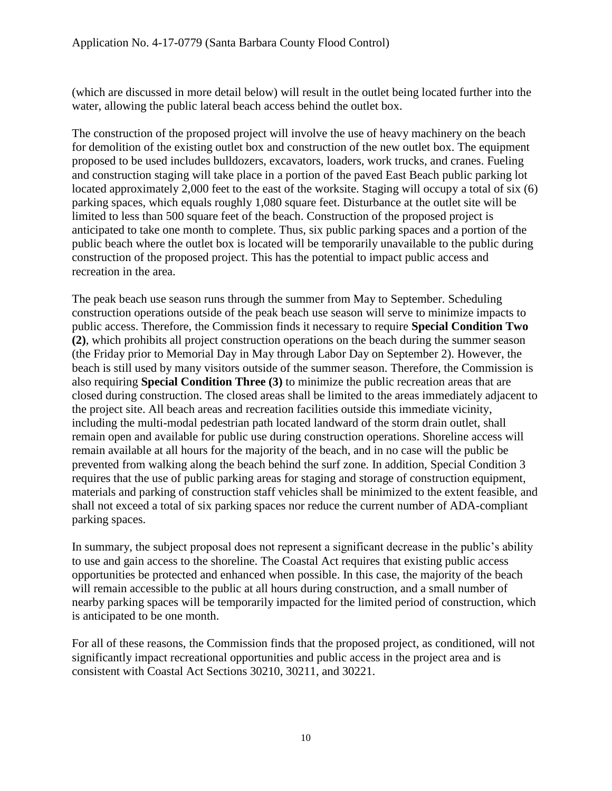(which are discussed in more detail below) will result in the outlet being located further into the water, allowing the public lateral beach access behind the outlet box.

The construction of the proposed project will involve the use of heavy machinery on the beach for demolition of the existing outlet box and construction of the new outlet box. The equipment proposed to be used includes bulldozers, excavators, loaders, work trucks, and cranes. Fueling and construction staging will take place in a portion of the paved East Beach public parking lot located approximately 2,000 feet to the east of the worksite. Staging will occupy a total of six (6) parking spaces, which equals roughly 1,080 square feet. Disturbance at the outlet site will be limited to less than 500 square feet of the beach. Construction of the proposed project is anticipated to take one month to complete. Thus, six public parking spaces and a portion of the public beach where the outlet box is located will be temporarily unavailable to the public during construction of the proposed project. This has the potential to impact public access and recreation in the area.

The peak beach use season runs through the summer from May to September. Scheduling construction operations outside of the peak beach use season will serve to minimize impacts to public access. Therefore, the Commission finds it necessary to require **Special Condition Two (2)**, which prohibits all project construction operations on the beach during the summer season (the Friday prior to Memorial Day in May through Labor Day on September 2). However, the beach is still used by many visitors outside of the summer season. Therefore, the Commission is also requiring **Special Condition Three (3)** to minimize the public recreation areas that are closed during construction. The closed areas shall be limited to the areas immediately adjacent to the project site. All beach areas and recreation facilities outside this immediate vicinity, including the multi-modal pedestrian path located landward of the storm drain outlet, shall remain open and available for public use during construction operations. Shoreline access will remain available at all hours for the majority of the beach, and in no case will the public be prevented from walking along the beach behind the surf zone. In addition, Special Condition 3 requires that the use of public parking areas for staging and storage of construction equipment, materials and parking of construction staff vehicles shall be minimized to the extent feasible, and shall not exceed a total of six parking spaces nor reduce the current number of ADA-compliant parking spaces.

In summary, the subject proposal does not represent a significant decrease in the public's ability to use and gain access to the shoreline. The Coastal Act requires that existing public access opportunities be protected and enhanced when possible. In this case, the majority of the beach will remain accessible to the public at all hours during construction, and a small number of nearby parking spaces will be temporarily impacted for the limited period of construction, which is anticipated to be one month.

For all of these reasons, the Commission finds that the proposed project, as conditioned, will not significantly impact recreational opportunities and public access in the project area and is consistent with Coastal Act Sections 30210, 30211, and 30221.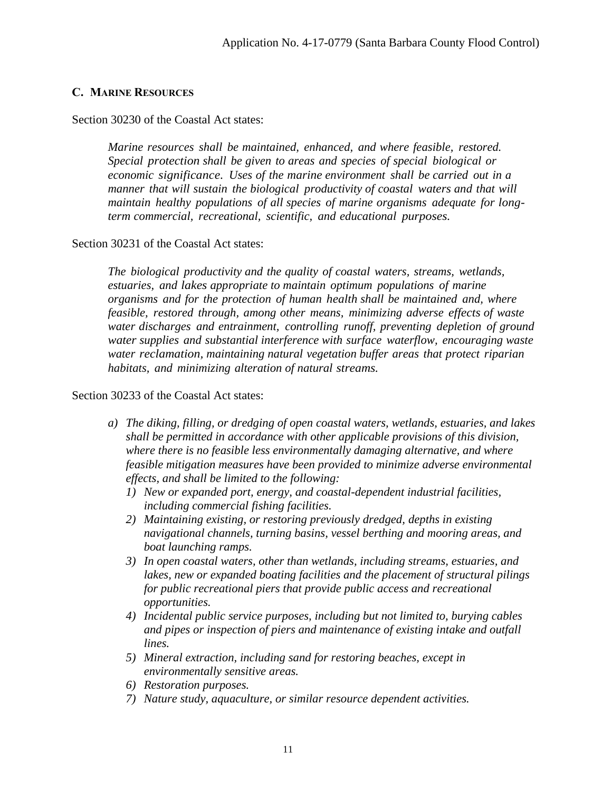#### <span id="page-10-0"></span>**C. MARINE RESOURCES**

Section 30230 of the Coastal Act states:

*Marine resources shall be maintained, enhanced, and where feasible, restored. Special protection shall be given to areas and species of special biological or economic significance. Uses of the marine environment shall be carried out in a manner that will sustain the biological productivity of coastal waters and that will maintain healthy populations of all species of marine organisms adequate for longterm commercial, recreational, scientific, and educational purposes.*

#### Section 30231 of the Coastal Act states:

*The biological productivity and the quality of coastal waters, streams, wetlands, estuaries, and lakes appropriate to maintain optimum populations of marine organisms and for the protection of human health shall be maintained and, where feasible, restored through, among other means, minimizing adverse effects of waste water discharges and entrainment, controlling runoff, preventing depletion of ground water supplies and substantial interference with surface waterflow, encouraging waste water reclamation, maintaining natural vegetation buffer areas that protect riparian habitats, and minimizing alteration of natural streams.*

#### Section 30233 of the Coastal Act states:

- *a) The diking, filling, or dredging of open coastal waters, wetlands, estuaries, and lakes shall be permitted in accordance with other applicable provisions of this division, where there is no feasible less environmentally damaging alternative, and where feasible mitigation measures have been provided to minimize adverse environmental effects, and shall be limited to the following:*
	- *1) New or expanded port, energy, and coastal-dependent industrial facilities, including commercial fishing facilities.*
	- *2) Maintaining existing, or restoring previously dredged, depths in existing navigational channels, turning basins, vessel berthing and mooring areas, and boat launching ramps.*
	- *3) In open coastal waters, other than wetlands, including streams, estuaries, and lakes, new or expanded boating facilities and the placement of structural pilings for public recreational piers that provide public access and recreational opportunities.*
	- *4) Incidental public service purposes, including but not limited to, burying cables and pipes or inspection of piers and maintenance of existing intake and outfall lines.*
	- *5) Mineral extraction, including sand for restoring beaches, except in environmentally sensitive areas.*
	- *6) Restoration purposes.*
	- *7) Nature study, aquaculture, or similar resource dependent activities.*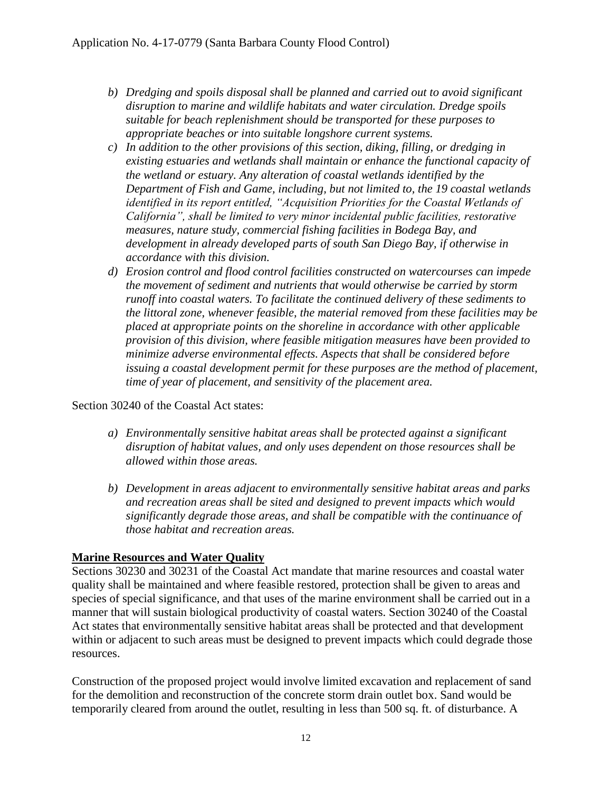- *b) Dredging and spoils disposal shall be planned and carried out to avoid significant disruption to marine and wildlife habitats and water circulation. Dredge spoils suitable for beach replenishment should be transported for these purposes to appropriate beaches or into suitable longshore current systems.*
- *c) In addition to the other provisions of this section, diking, filling, or dredging in existing estuaries and wetlands shall maintain or enhance the functional capacity of the wetland or estuary. Any alteration of coastal wetlands identified by the Department of Fish and Game, including, but not limited to, the 19 coastal wetlands identified in its report entitled, "Acquisition Priorities for the Coastal Wetlands of California", shall be limited to very minor incidental public facilities, restorative measures, nature study, commercial fishing facilities in Bodega Bay, and development in already developed parts of south San Diego Bay, if otherwise in accordance with this division.*
- *d) Erosion control and flood control facilities constructed on watercourses can impede the movement of sediment and nutrients that would otherwise be carried by storm runoff into coastal waters. To facilitate the continued delivery of these sediments to the littoral zone, whenever feasible, the material removed from these facilities may be placed at appropriate points on the shoreline in accordance with other applicable provision of this division, where feasible mitigation measures have been provided to minimize adverse environmental effects. Aspects that shall be considered before issuing a coastal development permit for these purposes are the method of placement, time of year of placement, and sensitivity of the placement area.*

Section 30240 of the Coastal Act states:

- *a) Environmentally sensitive habitat areas shall be protected against a significant disruption of habitat values, and only uses dependent on those resources shall be allowed within those areas.*
- *b) Development in areas adjacent to environmentally sensitive habitat areas and parks and recreation areas shall be sited and designed to prevent impacts which would significantly degrade those areas, and shall be compatible with the continuance of those habitat and recreation areas.*

## **Marine Resources and Water Quality**

Sections 30230 and 30231 of the Coastal Act mandate that marine resources and coastal water quality shall be maintained and where feasible restored, protection shall be given to areas and species of special significance, and that uses of the marine environment shall be carried out in a manner that will sustain biological productivity of coastal waters. Section 30240 of the Coastal Act states that environmentally sensitive habitat areas shall be protected and that development within or adjacent to such areas must be designed to prevent impacts which could degrade those resources.

Construction of the proposed project would involve limited excavation and replacement of sand for the demolition and reconstruction of the concrete storm drain outlet box. Sand would be temporarily cleared from around the outlet, resulting in less than 500 sq. ft. of disturbance. A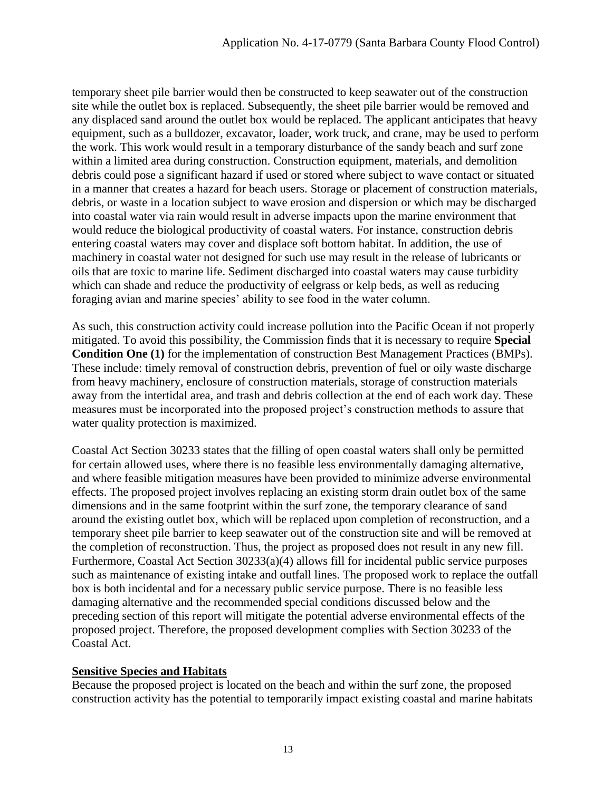temporary sheet pile barrier would then be constructed to keep seawater out of the construction site while the outlet box is replaced. Subsequently, the sheet pile barrier would be removed and any displaced sand around the outlet box would be replaced. The applicant anticipates that heavy equipment, such as a bulldozer, excavator, loader, work truck, and crane, may be used to perform the work. This work would result in a temporary disturbance of the sandy beach and surf zone within a limited area during construction. Construction equipment, materials, and demolition debris could pose a significant hazard if used or stored where subject to wave contact or situated in a manner that creates a hazard for beach users. Storage or placement of construction materials, debris, or waste in a location subject to wave erosion and dispersion or which may be discharged into coastal water via rain would result in adverse impacts upon the marine environment that would reduce the biological productivity of coastal waters. For instance, construction debris entering coastal waters may cover and displace soft bottom habitat. In addition, the use of machinery in coastal water not designed for such use may result in the release of lubricants or oils that are toxic to marine life. Sediment discharged into coastal waters may cause turbidity which can shade and reduce the productivity of eelgrass or kelp beds, as well as reducing foraging avian and marine species' ability to see food in the water column.

As such, this construction activity could increase pollution into the Pacific Ocean if not properly mitigated. To avoid this possibility, the Commission finds that it is necessary to require **Special Condition One (1)** for the implementation of construction Best Management Practices (BMPs). These include: timely removal of construction debris, prevention of fuel or oily waste discharge from heavy machinery, enclosure of construction materials, storage of construction materials away from the intertidal area, and trash and debris collection at the end of each work day. These measures must be incorporated into the proposed project's construction methods to assure that water quality protection is maximized.

Coastal Act Section 30233 states that the filling of open coastal waters shall only be permitted for certain allowed uses, where there is no feasible less environmentally damaging alternative, and where feasible mitigation measures have been provided to minimize adverse environmental effects. The proposed project involves replacing an existing storm drain outlet box of the same dimensions and in the same footprint within the surf zone, the temporary clearance of sand around the existing outlet box, which will be replaced upon completion of reconstruction, and a temporary sheet pile barrier to keep seawater out of the construction site and will be removed at the completion of reconstruction. Thus, the project as proposed does not result in any new fill. Furthermore, Coastal Act Section 30233(a)(4) allows fill for incidental public service purposes such as maintenance of existing intake and outfall lines. The proposed work to replace the outfall box is both incidental and for a necessary public service purpose. There is no feasible less damaging alternative and the recommended special conditions discussed below and the preceding section of this report will mitigate the potential adverse environmental effects of the proposed project. Therefore, the proposed development complies with Section 30233 of the Coastal Act.

### **Sensitive Species and Habitats**

Because the proposed project is located on the beach and within the surf zone, the proposed construction activity has the potential to temporarily impact existing coastal and marine habitats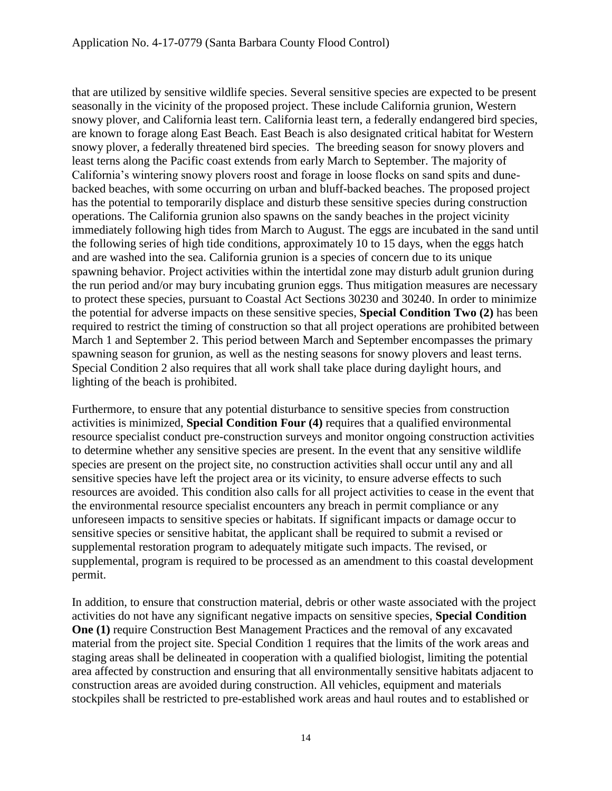that are utilized by sensitive wildlife species. Several sensitive species are expected to be present seasonally in the vicinity of the proposed project. These include California grunion, Western snowy plover, and California least tern. California least tern, a federally endangered bird species, are known to forage along East Beach. East Beach is also designated critical habitat for Western snowy plover, a federally threatened bird species. The breeding season for snowy plovers and least terns along the Pacific coast extends from early March to September. The majority of California's wintering snowy plovers roost and forage in loose flocks on sand spits and dunebacked beaches, with some occurring on urban and bluff-backed beaches. The proposed project has the potential to temporarily displace and disturb these sensitive species during construction operations. The California grunion also spawns on the sandy beaches in the project vicinity immediately following high tides from March to August. The eggs are incubated in the sand until the following series of high tide conditions, approximately 10 to 15 days, when the eggs hatch and are washed into the sea. California grunion is a species of concern due to its unique spawning behavior. Project activities within the intertidal zone may disturb adult grunion during the run period and/or may bury incubating grunion eggs. Thus mitigation measures are necessary to protect these species, pursuant to Coastal Act Sections 30230 and 30240. In order to minimize the potential for adverse impacts on these sensitive species, **Special Condition Two (2)** has been required to restrict the timing of construction so that all project operations are prohibited between March 1 and September 2. This period between March and September encompasses the primary spawning season for grunion, as well as the nesting seasons for snowy plovers and least terns. Special Condition 2 also requires that all work shall take place during daylight hours, and lighting of the beach is prohibited.

Furthermore, to ensure that any potential disturbance to sensitive species from construction activities is minimized, **Special Condition Four (4)** requires that a qualified environmental resource specialist conduct pre-construction surveys and monitor ongoing construction activities to determine whether any sensitive species are present. In the event that any sensitive wildlife species are present on the project site, no construction activities shall occur until any and all sensitive species have left the project area or its vicinity, to ensure adverse effects to such resources are avoided. This condition also calls for all project activities to cease in the event that the environmental resource specialist encounters any breach in permit compliance or any unforeseen impacts to sensitive species or habitats. If significant impacts or damage occur to sensitive species or sensitive habitat, the applicant shall be required to submit a revised or supplemental restoration program to adequately mitigate such impacts. The revised, or supplemental, program is required to be processed as an amendment to this coastal development permit.

In addition, to ensure that construction material, debris or other waste associated with the project activities do not have any significant negative impacts on sensitive species, **Special Condition One (1)** require Construction Best Management Practices and the removal of any excavated material from the project site. Special Condition 1 requires that the limits of the work areas and staging areas shall be delineated in cooperation with a qualified biologist, limiting the potential area affected by construction and ensuring that all environmentally sensitive habitats adjacent to construction areas are avoided during construction. All vehicles, equipment and materials stockpiles shall be restricted to pre-established work areas and haul routes and to established or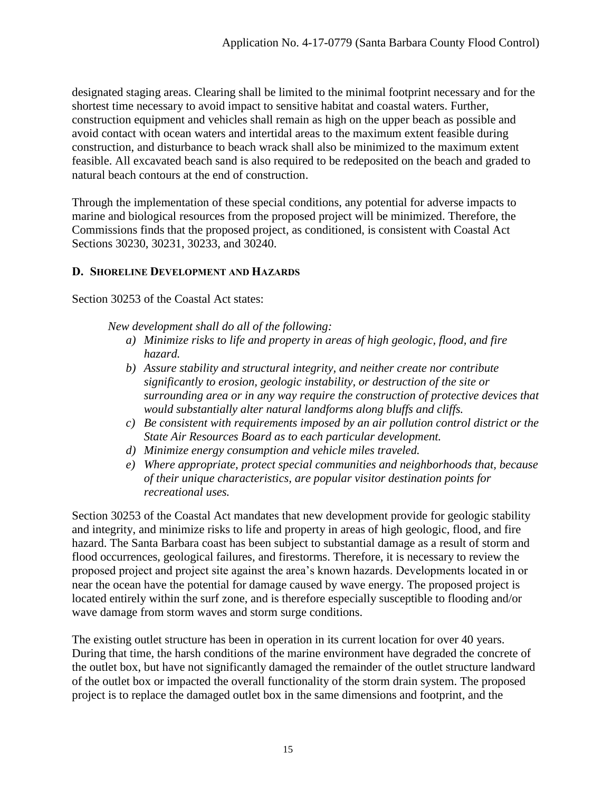designated staging areas. Clearing shall be limited to the minimal footprint necessary and for the shortest time necessary to avoid impact to sensitive habitat and coastal waters. Further, construction equipment and vehicles shall remain as high on the upper beach as possible and avoid contact with ocean waters and intertidal areas to the maximum extent feasible during construction, and disturbance to beach wrack shall also be minimized to the maximum extent feasible. All excavated beach sand is also required to be redeposited on the beach and graded to natural beach contours at the end of construction.

Through the implementation of these special conditions, any potential for adverse impacts to marine and biological resources from the proposed project will be minimized. Therefore, the Commissions finds that the proposed project, as conditioned, is consistent with Coastal Act Sections 30230, 30231, 30233, and 30240.

## <span id="page-14-0"></span>**D. SHORELINE DEVELOPMENT AND HAZARDS**

Section 30253 of the Coastal Act states:

*New development shall do all of the following:*

- *a) Minimize risks to life and property in areas of high geologic, flood, and fire hazard.*
- *b) Assure stability and structural integrity, and neither create nor contribute significantly to erosion, geologic instability, or destruction of the site or surrounding area or in any way require the construction of protective devices that would substantially alter natural landforms along bluffs and cliffs.*
- *c) Be consistent with requirements imposed by an air pollution control district or the State Air Resources Board as to each particular development.*
- *d) Minimize energy consumption and vehicle miles traveled.*
- *e) Where appropriate, protect special communities and neighborhoods that, because of their unique characteristics, are popular visitor destination points for recreational uses.*

Section 30253 of the Coastal Act mandates that new development provide for geologic stability and integrity, and minimize risks to life and property in areas of high geologic, flood, and fire hazard. The Santa Barbara coast has been subject to substantial damage as a result of storm and flood occurrences, geological failures, and firestorms. Therefore, it is necessary to review the proposed project and project site against the area's known hazards. Developments located in or near the ocean have the potential for damage caused by wave energy. The proposed project is located entirely within the surf zone, and is therefore especially susceptible to flooding and/or wave damage from storm waves and storm surge conditions.

The existing outlet structure has been in operation in its current location for over 40 years. During that time, the harsh conditions of the marine environment have degraded the concrete of the outlet box, but have not significantly damaged the remainder of the outlet structure landward of the outlet box or impacted the overall functionality of the storm drain system. The proposed project is to replace the damaged outlet box in the same dimensions and footprint, and the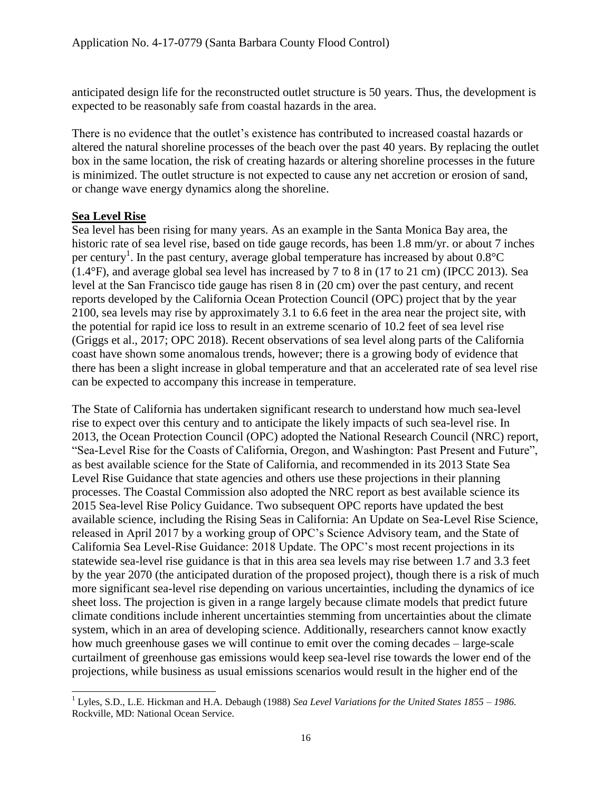anticipated design life for the reconstructed outlet structure is 50 years. Thus, the development is expected to be reasonably safe from coastal hazards in the area.

There is no evidence that the outlet's existence has contributed to increased coastal hazards or altered the natural shoreline processes of the beach over the past 40 years. By replacing the outlet box in the same location, the risk of creating hazards or altering shoreline processes in the future is minimized. The outlet structure is not expected to cause any net accretion or erosion of sand, or change wave energy dynamics along the shoreline.

### **Sea Level Rise**

Sea level has been rising for many years. As an example in the Santa Monica Bay area, the historic rate of sea level rise, based on tide gauge records, has been 1.8 mm/yr. or about 7 inches per century<sup>1</sup>. In the past century, average global temperature has increased by about  $0.8^{\circ}$ C (1.4°F), and average global sea level has increased by 7 to 8 in (17 to 21 cm) (IPCC 2013). Sea level at the San Francisco tide gauge has risen 8 in (20 cm) over the past century, and recent reports developed by the California Ocean Protection Council (OPC) project that by the year 2100, sea levels may rise by approximately 3.1 to 6.6 feet in the area near the project site, with the potential for rapid ice loss to result in an extreme scenario of 10.2 feet of sea level rise (Griggs et al., 2017; OPC 2018). Recent observations of sea level along parts of the California coast have shown some anomalous trends, however; there is a growing body of evidence that there has been a slight increase in global temperature and that an accelerated rate of sea level rise can be expected to accompany this increase in temperature.

The State of California has undertaken significant research to understand how much sea-level rise to expect over this century and to anticipate the likely impacts of such sea-level rise. In 2013, the Ocean Protection Council (OPC) adopted the National Research Council (NRC) report, "Sea-Level Rise for the Coasts of California, Oregon, and Washington: Past Present and Future", as best available science for the State of California, and recommended in its 2013 State Sea Level Rise Guidance that state agencies and others use these projections in their planning processes. The Coastal Commission also adopted the NRC report as best available science its 2015 Sea-level Rise Policy Guidance. Two subsequent OPC reports have updated the best available science, including the Rising Seas in California: An Update on Sea-Level Rise Science, released in April 2017 by a working group of OPC's Science Advisory team, and the State of California Sea Level-Rise Guidance: 2018 Update. The OPC's most recent projections in its statewide sea-level rise guidance is that in this area sea levels may rise between 1.7 and 3.3 feet by the year 2070 (the anticipated duration of the proposed project), though there is a risk of much more significant sea-level rise depending on various uncertainties, including the dynamics of ice sheet loss. The projection is given in a range largely because climate models that predict future climate conditions include inherent uncertainties stemming from uncertainties about the climate system, which in an area of developing science. Additionally, researchers cannot know exactly how much greenhouse gases we will continue to emit over the coming decades – large-scale curtailment of greenhouse gas emissions would keep sea-level rise towards the lower end of the projections, while business as usual emissions scenarios would result in the higher end of the

 $\overline{a}$ <sup>1</sup> Lyles, S.D., L.E. Hickman and H.A. Debaugh (1988) *Sea Level Variations for the United States 1855 – 1986.* Rockville, MD: National Ocean Service.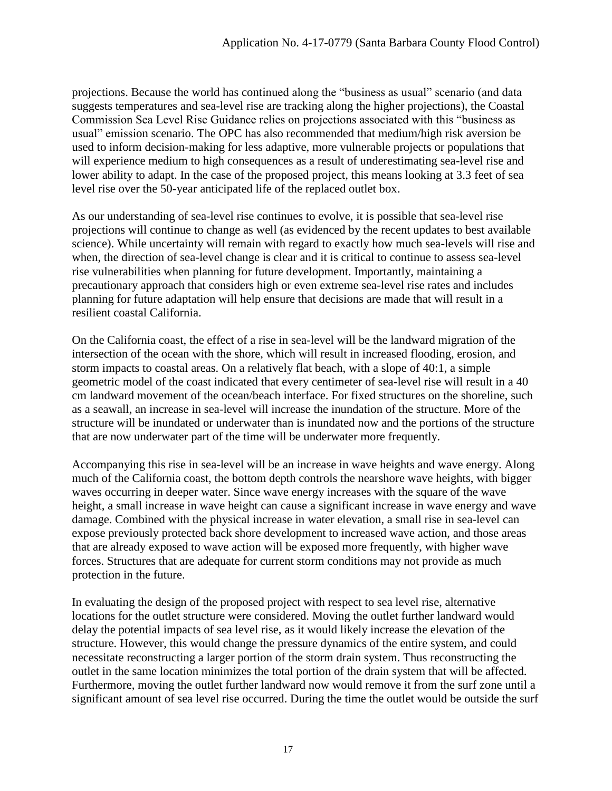projections. Because the world has continued along the "business as usual" scenario (and data suggests temperatures and sea-level rise are tracking along the higher projections), the Coastal Commission Sea Level Rise Guidance relies on projections associated with this "business as usual" emission scenario. The OPC has also recommended that medium/high risk aversion be used to inform decision-making for less adaptive, more vulnerable projects or populations that will experience medium to high consequences as a result of underestimating sea-level rise and lower ability to adapt. In the case of the proposed project, this means looking at 3.3 feet of sea level rise over the 50-year anticipated life of the replaced outlet box.

As our understanding of sea-level rise continues to evolve, it is possible that sea-level rise projections will continue to change as well (as evidenced by the recent updates to best available science). While uncertainty will remain with regard to exactly how much sea-levels will rise and when, the direction of sea-level change is clear and it is critical to continue to assess sea-level rise vulnerabilities when planning for future development. Importantly, maintaining a precautionary approach that considers high or even extreme sea-level rise rates and includes planning for future adaptation will help ensure that decisions are made that will result in a resilient coastal California.

On the California coast, the effect of a rise in sea-level will be the landward migration of the intersection of the ocean with the shore, which will result in increased flooding, erosion, and storm impacts to coastal areas. On a relatively flat beach, with a slope of 40:1, a simple geometric model of the coast indicated that every centimeter of sea-level rise will result in a 40 cm landward movement of the ocean/beach interface. For fixed structures on the shoreline, such as a seawall, an increase in sea-level will increase the inundation of the structure. More of the structure will be inundated or underwater than is inundated now and the portions of the structure that are now underwater part of the time will be underwater more frequently.

Accompanying this rise in sea-level will be an increase in wave heights and wave energy. Along much of the California coast, the bottom depth controls the nearshore wave heights, with bigger waves occurring in deeper water. Since wave energy increases with the square of the wave height, a small increase in wave height can cause a significant increase in wave energy and wave damage. Combined with the physical increase in water elevation, a small rise in sea-level can expose previously protected back shore development to increased wave action, and those areas that are already exposed to wave action will be exposed more frequently, with higher wave forces. Structures that are adequate for current storm conditions may not provide as much protection in the future.

In evaluating the design of the proposed project with respect to sea level rise, alternative locations for the outlet structure were considered. Moving the outlet further landward would delay the potential impacts of sea level rise, as it would likely increase the elevation of the structure. However, this would change the pressure dynamics of the entire system, and could necessitate reconstructing a larger portion of the storm drain system. Thus reconstructing the outlet in the same location minimizes the total portion of the drain system that will be affected. Furthermore, moving the outlet further landward now would remove it from the surf zone until a significant amount of sea level rise occurred. During the time the outlet would be outside the surf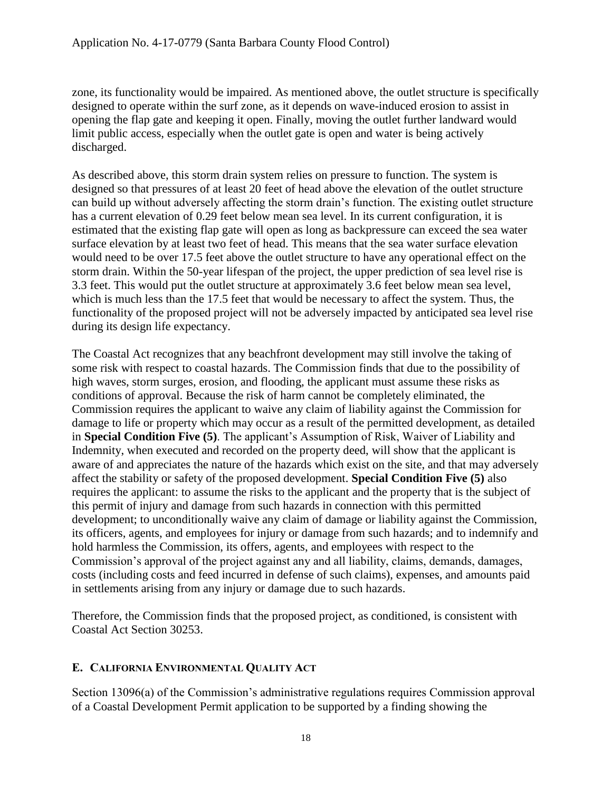zone, its functionality would be impaired. As mentioned above, the outlet structure is specifically designed to operate within the surf zone, as it depends on wave-induced erosion to assist in opening the flap gate and keeping it open. Finally, moving the outlet further landward would limit public access, especially when the outlet gate is open and water is being actively discharged.

As described above, this storm drain system relies on pressure to function. The system is designed so that pressures of at least 20 feet of head above the elevation of the outlet structure can build up without adversely affecting the storm drain's function. The existing outlet structure has a current elevation of 0.29 feet below mean sea level. In its current configuration, it is estimated that the existing flap gate will open as long as backpressure can exceed the sea water surface elevation by at least two feet of head. This means that the sea water surface elevation would need to be over 17.5 feet above the outlet structure to have any operational effect on the storm drain. Within the 50-year lifespan of the project, the upper prediction of sea level rise is 3.3 feet. This would put the outlet structure at approximately 3.6 feet below mean sea level, which is much less than the 17.5 feet that would be necessary to affect the system. Thus, the functionality of the proposed project will not be adversely impacted by anticipated sea level rise during its design life expectancy.

The Coastal Act recognizes that any beachfront development may still involve the taking of some risk with respect to coastal hazards. The Commission finds that due to the possibility of high waves, storm surges, erosion, and flooding, the applicant must assume these risks as conditions of approval. Because the risk of harm cannot be completely eliminated, the Commission requires the applicant to waive any claim of liability against the Commission for damage to life or property which may occur as a result of the permitted development, as detailed in **Special Condition Five (5)**. The applicant's Assumption of Risk, Waiver of Liability and Indemnity, when executed and recorded on the property deed, will show that the applicant is aware of and appreciates the nature of the hazards which exist on the site, and that may adversely affect the stability or safety of the proposed development. **Special Condition Five (5)** also requires the applicant: to assume the risks to the applicant and the property that is the subject of this permit of injury and damage from such hazards in connection with this permitted development; to unconditionally waive any claim of damage or liability against the Commission, its officers, agents, and employees for injury or damage from such hazards; and to indemnify and hold harmless the Commission, its offers, agents, and employees with respect to the Commission's approval of the project against any and all liability, claims, demands, damages, costs (including costs and feed incurred in defense of such claims), expenses, and amounts paid in settlements arising from any injury or damage due to such hazards.

Therefore, the Commission finds that the proposed project, as conditioned, is consistent with Coastal Act Section 30253.

## <span id="page-17-0"></span>**E. CALIFORNIA ENVIRONMENTAL QUALITY ACT**

Section 13096(a) of the Commission's administrative regulations requires Commission approval of a Coastal Development Permit application to be supported by a finding showing the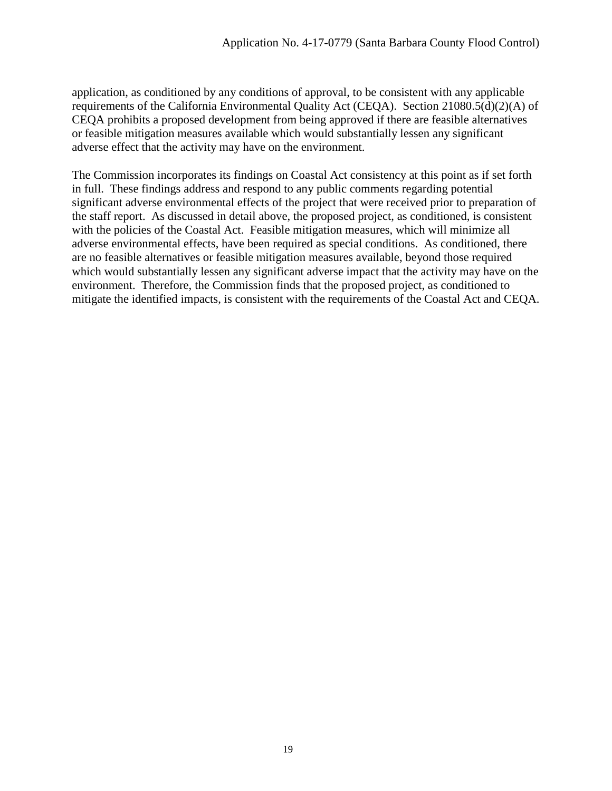application, as conditioned by any conditions of approval, to be consistent with any applicable requirements of the California Environmental Quality Act (CEQA). Section 21080.5(d)(2)(A) of CEQA prohibits a proposed development from being approved if there are feasible alternatives or feasible mitigation measures available which would substantially lessen any significant adverse effect that the activity may have on the environment.

The Commission incorporates its findings on Coastal Act consistency at this point as if set forth in full. These findings address and respond to any public comments regarding potential significant adverse environmental effects of the project that were received prior to preparation of the staff report. As discussed in detail above, the proposed project, as conditioned, is consistent with the policies of the Coastal Act. Feasible mitigation measures, which will minimize all adverse environmental effects, have been required as special conditions. As conditioned, there are no feasible alternatives or feasible mitigation measures available, beyond those required which would substantially lessen any significant adverse impact that the activity may have on the environment. Therefore, the Commission finds that the proposed project, as conditioned to mitigate the identified impacts, is consistent with the requirements of the Coastal Act and CEQA.